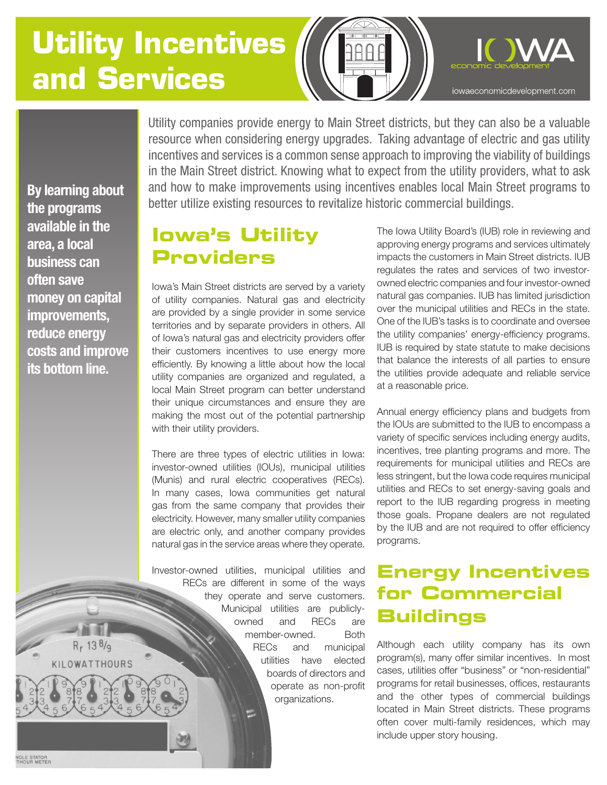# **Utility Incentives and Services**



**By learning about the programs available in the area, a local business can often save money on capital improvements, reduce energy costs and improve its bottom line.**

Utility companies provide energy to Main Street districts, but they can also be a valuable resource when considering energy upgrades. Taking advantage of electric and gas utility incentives and services is a common sense approach to improving the viability of buildings in the Main Street district. Knowing what to expect from the utility providers, what to ask and how to make improvements using incentives enables local Main Street programs to better utilize existing resources to revitalize historic commercial buildings.

# **Iowa's Utility Providers**

Iowa's Main Street districts are served by a variety of utility companies. Natural gas and electricity are provided by a single provider in some service territories and by separate providers in others. All of Iowa's natural gas and electricity providers offer their customers incentives to use energy more efficiently. By knowing a little about how the local utility companies are organized and regulated, a local Main Street program can better understand their unique circumstances and ensure they are making the most out of the potential partnership with their utility providers.

There are three types of electric utilities in Iowa: investor-owned utilities (IOUs), municipal utilities (Munis) and rural electric cooperatives (RECs). In many cases, Iowa communities get natural gas from the same company that provides their electricity. However, many smaller utility companies are electric only, and another company provides natural gas in the service areas where they operate.

Investor-owned utilities, municipal utilities and RECs are different in some of the ways they operate and serve customers. Municipal utilities are publiclyowned and RECs are member-owned. Both RECs and municipal utilities have elected boards of directors and operate as non-profit organizations.

The Iowa Utility Board's (IUB) role in reviewing and approving energy programs and services ultimately impacts the customers in Main Street districts. IUB regulates the rates and services of two investorowned electric companies and four investor-owned natural gas companies. IUB has limited jurisdiction over the municipal utilities and RECs in the state. One of the IUB's tasks is to coordinate and oversee the utility companies' energy-efficiency programs. IUB is required by state statute to make decisions that balance the interests of all parties to ensure the utilities provide adequate and reliable service at a reasonable price.

Annual energy efficiency plans and budgets from the IOUs are submitted to the IUB to encompass a variety of specific services including energy audits, incentives, tree planting programs and more. The requirements for municipal utilities and RECs are less stringent, but the Iowa code requires municipal utilities and RECs to set energy-saving goals and report to the IUB regarding progress in meeting those goals. Propane dealers are not regulated by the IUB and are not required to offer efficiency programs.

# **Energy Incentives for Commercial Buildings**

Although each utility company has its own program(s), many offer similar incentives. In most cases, utilities offer "business" or "non-residential" programs for retail businesses, offices, restaurants and the other types of commercial buildings located in Main Street districts. These programs often cover multi-family residences, which may include upper story housing.

**NGLE STATOR**<br>THOUR METER

 $R_r$  13 $8/q$ KILOWATTHOURS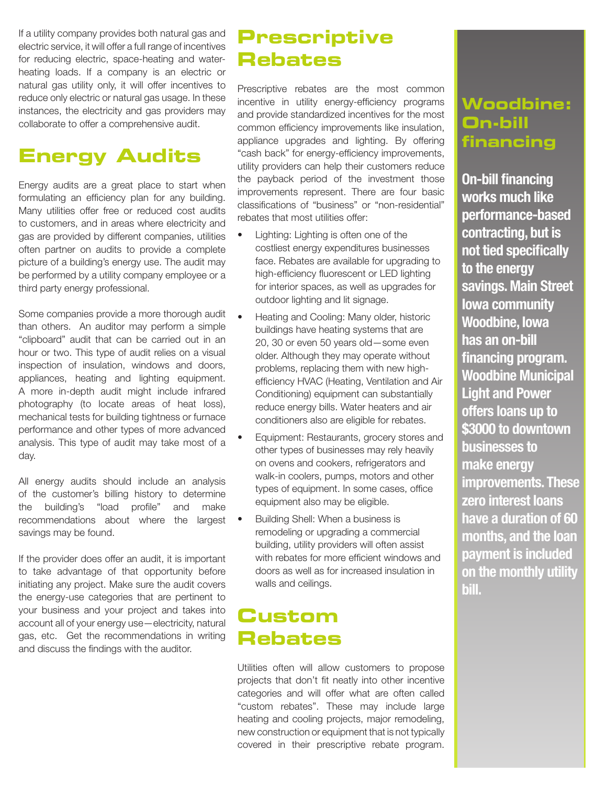If a utility company provides both natural gas and electric service, it will offer a full range of incentives for reducing electric, space-heating and waterheating loads. If a company is an electric or natural gas utility only, it will offer incentives to reduce only electric or natural gas usage. In these instances, the electricity and gas providers may collaborate to offer a comprehensive audit.

### **Energy Audits**

Energy audits are a great place to start when formulating an efficiency plan for any building. Many utilities offer free or reduced cost audits to customers, and in areas where electricity and gas are provided by different companies, utilities often partner on audits to provide a complete picture of a building's energy use. The audit may be performed by a utility company employee or a third party energy professional.

Some companies provide a more thorough audit than others. An auditor may perform a simple "clipboard" audit that can be carried out in an hour or two. This type of audit relies on a visual inspection of insulation, windows and doors, appliances, heating and lighting equipment. A more in-depth audit might include infrared photography (to locate areas of heat loss), mechanical tests for building tightness or furnace performance and other types of more advanced analysis. This type of audit may take most of a day.

All energy audits should include an analysis of the customer's billing history to determine the building's "load profile" and make recommendations about where the largest savings may be found.

If the provider does offer an audit, it is important to take advantage of that opportunity before initiating any project. Make sure the audit covers the energy-use categories that are pertinent to your business and your project and takes into account all of your energy use—electricity, natural gas, etc. Get the recommendations in writing and discuss the findings with the auditor.

# **Prescriptive Rebates**

Prescriptive rebates are the most common incentive in utility energy-efficiency programs and provide standardized incentives for the most common efficiency improvements like insulation, appliance upgrades and lighting. By offering "cash back" for energy-efficiency improvements, utility providers can help their customers reduce the payback period of the investment those improvements represent. There are four basic classifications of "business" or "non-residential" rebates that most utilities offer:

- Lighting: Lighting is often one of the costliest energy expenditures businesses face. Rebates are available for upgrading to high-efficiency fluorescent or LED lighting for interior spaces, as well as upgrades for outdoor lighting and lit signage.
- Heating and Cooling: Many older, historic buildings have heating systems that are 20, 30 or even 50 years old—some even older. Although they may operate without problems, replacing them with new highefficiency HVAC (Heating, Ventilation and Air Conditioning) equipment can substantially reduce energy bills. Water heaters and air conditioners also are eligible for rebates.
- Equipment: Restaurants, grocery stores and other types of businesses may rely heavily on ovens and cookers, refrigerators and walk-in coolers, pumps, motors and other types of equipment. In some cases, office equipment also may be eligible.
- Building Shell: When a business is remodeling or upgrading a commercial building, utility providers will often assist with rebates for more efficient windows and doors as well as for increased insulation in walls and ceilings.

### **Custom Rebates**

Utilities often will allow customers to propose projects that don't fit neatly into other incentive categories and will offer what are often called "custom rebates". These may include large heating and cooling projects, major remodeling, new construction or equipment that is not typically covered in their prescriptive rebate program.

### **Woodbine: On-bill financing**

**On-bill financing works much like performance-based contracting, but is not tied specifically to the energy savings. Main Street Iowa community Woodbine, Iowa has an on-bill financing program. Woodbine Municipal Light and Power offers loans up to \$3000 to downtown businesses to make energy improvements. These zero interest loans have a duration of 60 months, and the loan payment is included on the monthly utility bill.**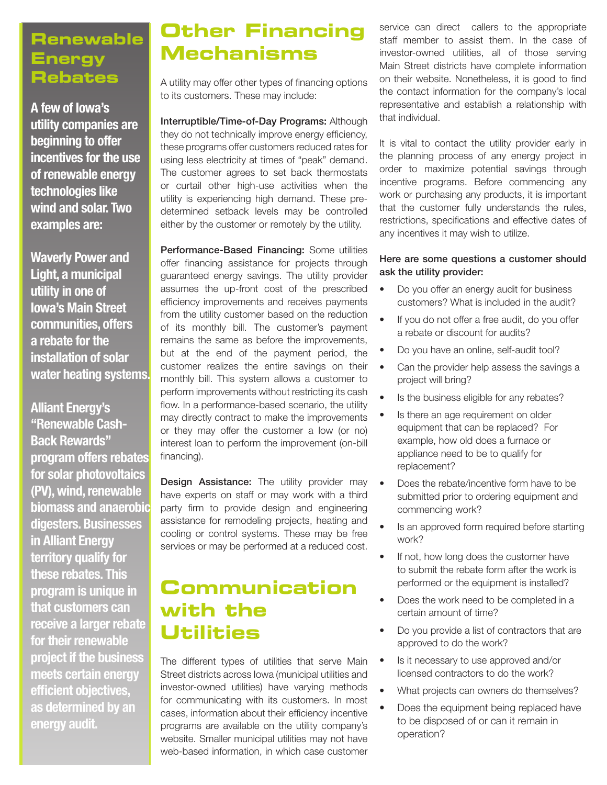#### **Renewable Energy Rebates**

**A few of Iowa's utility companies are beginning to offer incentives for the use of renewable energy technologies like wind and solar. Two examples are:**

**Waverly Power and Light, a municipal utility in one of Iowa's Main Street communities, offers a rebate for the installation of solar water heating systems.**

**Alliant Energy's "Renewable Cash-Back Rewards" program offers rebates for solar photovoltaics (PV), wind, renewable biomass and anaerobic digesters. Businesses in Alliant Energy territory qualify for these rebates. This program is unique in that customers can receive a larger rebate for their renewable project if the business meets certain energy efficient objectives, as determined by an energy audit.** 

# **Other Financing Mechanisms**

A utility may offer other types of financing options to its customers. These may include:

Interruptible/Time-of-Day Programs: Although they do not technically improve energy efficiency, these programs offer customers reduced rates for using less electricity at times of "peak" demand. The customer agrees to set back thermostats or curtail other high-use activities when the utility is experiencing high demand. These predetermined setback levels may be controlled either by the customer or remotely by the utility.

Performance-Based Financing: Some utilities offer financing assistance for projects through guaranteed energy savings. The utility provider assumes the up-front cost of the prescribed efficiency improvements and receives payments from the utility customer based on the reduction of its monthly bill. The customer's payment remains the same as before the improvements, but at the end of the payment period, the customer realizes the entire savings on their monthly bill. This system allows a customer to perform improvements without restricting its cash flow. In a performance-based scenario, the utility may directly contract to make the improvements or they may offer the customer a low (or no) interest loan to perform the improvement (on-bill financing).

**Design Assistance:** The utility provider may have experts on staff or may work with a third party firm to provide design and engineering assistance for remodeling projects, heating and cooling or control systems. These may be free services or may be performed at a reduced cost.

# **Communication with the Utilities**

The different types of utilities that serve Main Street districts across Iowa (municipal utilities and investor-owned utilities) have varying methods for communicating with its customers. In most cases, information about their efficiency incentive programs are available on the utility company's website. Smaller municipal utilities may not have web-based information, in which case customer

service can direct callers to the appropriate staff member to assist them. In the case of investor-owned utilities, all of those serving Main Street districts have complete information on their website. Nonetheless, it is good to find the contact information for the company's local representative and establish a relationship with that individual.

It is vital to contact the utility provider early in the planning process of any energy project in order to maximize potential savings through incentive programs. Before commencing any work or purchasing any products, it is important that the customer fully understands the rules, restrictions, specifications and effective dates of any incentives it may wish to utilize.

#### Here are some questions a customer should ask the utility provider:

- Do you offer an energy audit for business customers? What is included in the audit?
- If you do not offer a free audit, do you offer a rebate or discount for audits?
- Do you have an online, self-audit tool?
- Can the provider help assess the savings a project will bring?
- Is the business eligible for any rebates?
- Is there an age requirement on older equipment that can be replaced? For example, how old does a furnace or appliance need to be to qualify for replacement?
- Does the rebate/incentive form have to be submitted prior to ordering equipment and commencing work?
- Is an approved form required before starting work?
- If not, how long does the customer have to submit the rebate form after the work is performed or the equipment is installed?
- Does the work need to be completed in a certain amount of time?
- Do you provide a list of contractors that are approved to do the work?
- Is it necessary to use approved and/or licensed contractors to do the work?
- What projects can owners do themselves?
- Does the equipment being replaced have to be disposed of or can it remain in operation?